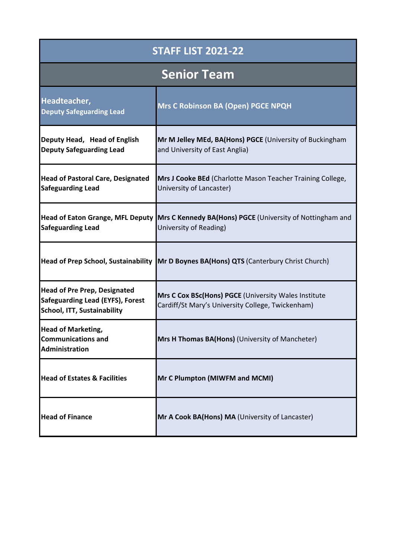| <b>STAFF LIST 2021-22</b>                                                                                     |                                                                                                                      |
|---------------------------------------------------------------------------------------------------------------|----------------------------------------------------------------------------------------------------------------------|
|                                                                                                               | <b>Senior Team</b>                                                                                                   |
| Headteacher,<br><b>Deputy Safeguarding Lead</b>                                                               | Mrs C Robinson BA (Open) PGCE NPQH                                                                                   |
| Deputy Head, Head of English<br><b>Deputy Safeguarding Lead</b>                                               | Mr M Jelley MEd, BA(Hons) PGCE (University of Buckingham<br>and University of East Anglia)                           |
| <b>Head of Pastoral Care, Designated</b><br><b>Safeguarding Lead</b>                                          | Mrs J Cooke BEd (Charlotte Mason Teacher Training College,<br>University of Lancaster)                               |
| <b>Safeguarding Lead</b>                                                                                      | Head of Eaton Grange, MFL Deputy Mrs C Kennedy BA(Hons) PGCE (University of Nottingham and<br>University of Reading) |
|                                                                                                               | Head of Prep School, Sustainability   Mr D Boynes BA(Hons) QTS (Canterbury Christ Church)                            |
| <b>Head of Pre Prep, Designated</b><br><b>Safeguarding Lead (EYFS), Forest</b><br>School, ITT, Sustainability | Mrs C Cox BSc(Hons) PGCE (University Wales Institute<br>Cardiff/St Mary's University College, Twickenham)            |
| <b>Head of Marketing,</b><br><b>Communications and</b><br>Administration                                      | Mrs H Thomas BA(Hons) (University of Mancheter)                                                                      |
| <b>Head of Estates &amp; Facilities</b>                                                                       | Mr C Plumpton (MIWFM and MCMI)                                                                                       |
| <b>Head of Finance</b>                                                                                        | Mr A Cook BA(Hons) MA (University of Lancaster)                                                                      |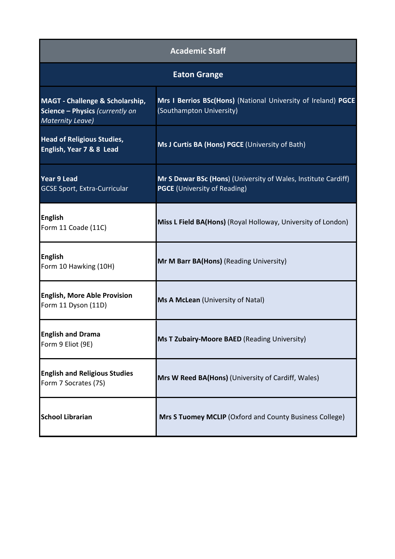| <b>Academic Staff</b>                                                                                    |                                                                                                       |
|----------------------------------------------------------------------------------------------------------|-------------------------------------------------------------------------------------------------------|
|                                                                                                          | <b>Eaton Grange</b>                                                                                   |
| <b>MAGT - Challenge &amp; Scholarship,</b><br>Science - Physics (currently on<br><b>Maternity Leave)</b> | Mrs I Berrios BSc(Hons) (National University of Ireland) PGCE<br>(Southampton University)             |
| <b>Head of Religious Studies,</b><br>English, Year 7 & 8 Lead                                            | Ms J Curtis BA (Hons) PGCE (University of Bath)                                                       |
| <b>Year 9 Lead</b><br><b>GCSE Sport, Extra-Curricular</b>                                                | Mr S Dewar BSc (Hons) (University of Wales, Institute Cardiff)<br><b>PGCE</b> (University of Reading) |
| <b>English</b><br>Form 11 Coade (11C)                                                                    | Miss L Field BA(Hons) (Royal Holloway, University of London)                                          |
| <b>English</b><br>Form 10 Hawking (10H)                                                                  | Mr M Barr BA(Hons) (Reading University)                                                               |
| <b>English, More Able Provision</b><br>Form 11 Dyson (11D)                                               | Ms A McLean (University of Natal)                                                                     |
| <b>English and Drama</b><br>Form 9 Eliot (9E)                                                            | Ms T Zubairy-Moore BAED (Reading University)                                                          |
| <b>English and Religious Studies</b><br>Form 7 Socrates (7S)                                             | Mrs W Reed BA(Hons) (University of Cardiff, Wales)                                                    |
| <b>School Librarian</b>                                                                                  | Mrs S Tuomey MCLIP (Oxford and County Business College)                                               |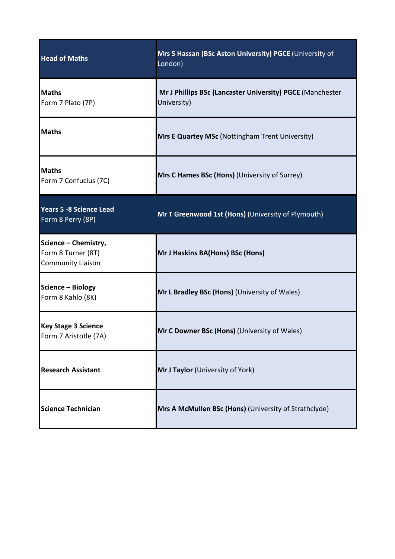| <b>Head of Maths</b>                                                   | Mrs S Hassan (BSc Aston University) PGCE (University of<br>London)       |
|------------------------------------------------------------------------|--------------------------------------------------------------------------|
| <b>Maths</b><br>Form 7 Plato (7P)                                      | Mr J Phillips BSc (Lancaster University) PGCE (Manchester<br>University) |
| <b>Maths</b>                                                           | Mrs E Quartey MSc (Nottingham Trent University)                          |
| <b>Maths</b><br>Form 7 Confucius (7C)                                  | Mrs C Hames BSc (Hons) (University of Surrey)                            |
| <b>Years 5 -8 Science Lead</b><br>Form 8 Perry (8P)                    | Mr T Greenwood 1st (Hons) (University of Plymouth)                       |
| Science - Chemistry,<br>Form 8 Turner (8T)<br><b>Community Liaison</b> | Mr J Haskins BA(Hons) BSc (Hons)                                         |
| Science - Biology<br>Form 8 Kahlo (8K)                                 | Mr L Bradley BSc (Hons) (University of Wales)                            |
| <b>Key Stage 3 Science</b><br>Form 7 Aristotle (7A)                    | Mr C Downer BSc (Hons) (University of Wales)                             |
| <b>Research Assistant</b>                                              | Mr J Taylor (University of York)                                         |
| <b>Science Technician</b>                                              | Mrs A McMullen BSc (Hons) (University of Strathclyde)                    |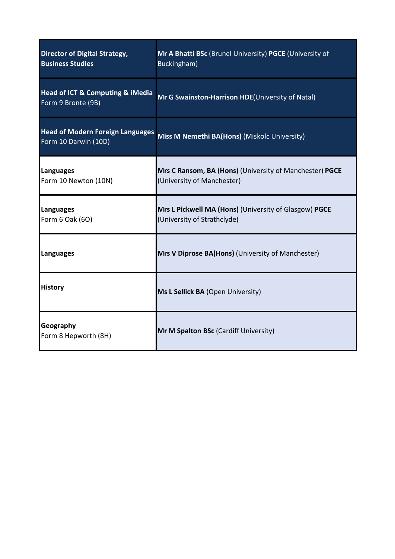| <b>Director of Digital Strategy,</b><br><b>Business Studies</b>       | Mr A Bhatti BSc (Brunel University) PGCE (University of<br>Buckingham)                |
|-----------------------------------------------------------------------|---------------------------------------------------------------------------------------|
| <b>Head of ICT &amp; Computing &amp; iMedia</b><br>Form 9 Bronte (9B) | Mr G Swainston-Harrison HDE(University of Natal)                                      |
| <b>Head of Modern Foreign Languages</b><br>Form 10 Darwin (10D)       | Miss M Nemethi BA(Hons) (Miskolc University)                                          |
| Languages<br>Form 10 Newton (10N)                                     | Mrs C Ransom, BA (Hons) (University of Manchester) PGCE<br>(University of Manchester) |
| Languages<br>Form 6 Oak (6O)                                          | Mrs L Pickwell MA (Hons) (University of Glasgow) PGCE<br>(University of Strathclyde)  |
| Languages                                                             | <b>Mrs V Diprose BA(Hons)</b> (University of Manchester)                              |
| <b>History</b>                                                        | Ms L Sellick BA (Open University)                                                     |
| Geography<br>Form 8 Hepworth (8H)                                     | Mr M Spalton BSc (Cardiff University)                                                 |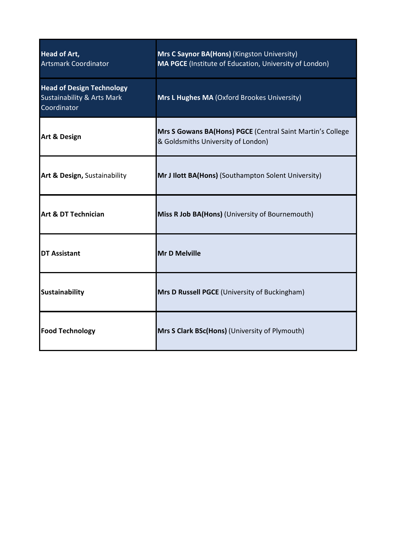| <b>Head of Art,</b><br><b>Artsmark Coordinator</b>                                       | Mrs C Saynor BA(Hons) (Kingston University)<br>MA PGCE (Institute of Education, University of London) |
|------------------------------------------------------------------------------------------|-------------------------------------------------------------------------------------------------------|
| <b>Head of Design Technology</b><br><b>Sustainability &amp; Arts Mark</b><br>Coordinator | Mrs L Hughes MA (Oxford Brookes University)                                                           |
| <b>Art &amp; Design</b>                                                                  | Mrs S Gowans BA(Hons) PGCE (Central Saint Martin's College<br>& Goldsmiths University of London)      |
| Art & Design, Sustainability                                                             | Mr J Ilott BA(Hons) (Southampton Solent University)                                                   |
| Art & DT Technician                                                                      | Miss R Job BA(Hons) (University of Bournemouth)                                                       |
| <b>DT Assistant</b>                                                                      | <b>Mr D Melville</b>                                                                                  |
| <b>Sustainability</b>                                                                    | Mrs D Russell PGCE (University of Buckingham)                                                         |
| <b>Food Technology</b>                                                                   | Mrs S Clark BSc(Hons) (University of Plymouth)                                                        |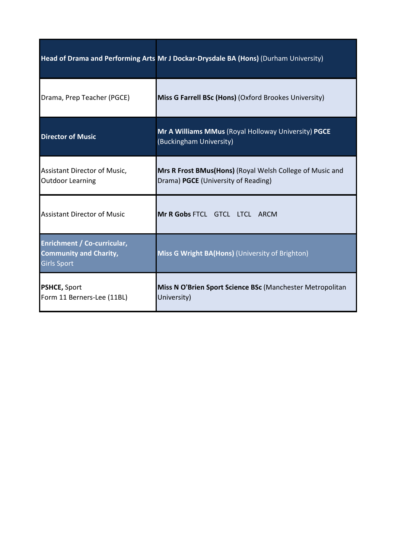|                                                                                    | Head of Drama and Performing Arts Mr J Dockar-Drysdale BA (Hons) (Durham University)            |
|------------------------------------------------------------------------------------|-------------------------------------------------------------------------------------------------|
| Drama, Prep Teacher (PGCE)                                                         | Miss G Farrell BSc (Hons) (Oxford Brookes University)                                           |
| <b>Director of Music</b>                                                           | Mr A Williams MMus (Royal Holloway University) PGCE<br>(Buckingham University)                  |
| Assistant Director of Music,<br><b>Outdoor Learning</b>                            | Mrs R Frost BMus(Hons) (Royal Welsh College of Music and<br>Drama) PGCE (University of Reading) |
| <b>Assistant Director of Music</b>                                                 | Mr R Gobs FTCL GTCL LTCL ARCM                                                                   |
| Enrichment / Co-curricular,<br><b>Community and Charity,</b><br><b>Girls Sport</b> | Miss G Wright BA(Hons) (University of Brighton)                                                 |
| <b>PSHCE, Sport</b><br>Form 11 Berners-Lee (11BL)                                  | Miss N O'Brien Sport Science BSc (Manchester Metropolitan<br>University)                        |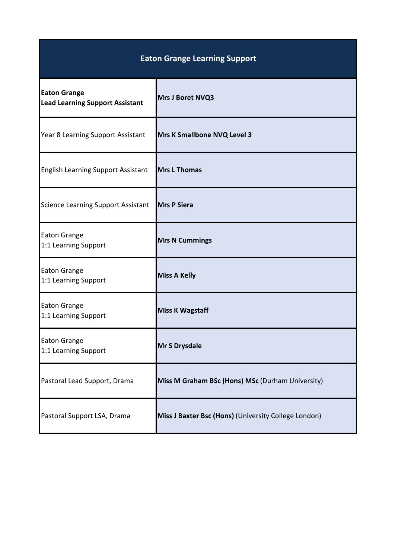| <b>Eaton Grange Learning Support</b>                          |                                                      |
|---------------------------------------------------------------|------------------------------------------------------|
| <b>Eaton Grange</b><br><b>Lead Learning Support Assistant</b> | Mrs J Boret NVQ3                                     |
| Year 8 Learning Support Assistant                             | Mrs K Smallbone NVQ Level 3                          |
| <b>English Learning Support Assistant</b>                     | <b>Mrs L Thomas</b>                                  |
| <b>Science Learning Support Assistant</b>                     | <b>Mrs P Siera</b>                                   |
| <b>Eaton Grange</b><br>1:1 Learning Support                   | <b>Mrs N Cummings</b>                                |
| <b>Eaton Grange</b><br>1:1 Learning Support                   | <b>Miss A Kelly</b>                                  |
| <b>Eaton Grange</b><br>1:1 Learning Support                   | <b>Miss K Wagstaff</b>                               |
| <b>Eaton Grange</b><br>1:1 Learning Support                   | Mr S Drysdale                                        |
| Pastoral Lead Support, Drama                                  | Miss M Graham BSc (Hons) MSc (Durham University)     |
| Pastoral Support LSA, Drama                                   | Miss J Baxter Bsc (Hons) (University College London) |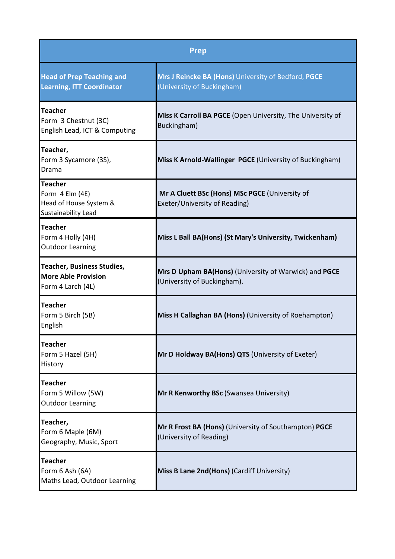| <b>Prep</b>                                                                          |                                                                                      |
|--------------------------------------------------------------------------------------|--------------------------------------------------------------------------------------|
| <b>Head of Prep Teaching and</b><br><b>Learning, ITT Coordinator</b>                 | Mrs J Reincke BA (Hons) University of Bedford, PGCE<br>(University of Buckingham)    |
| Teacher<br>Form 3 Chestnut (3C)<br>English Lead, ICT & Computing                     | Miss K Carroll BA PGCE (Open University, The University of<br>Buckingham)            |
| Teacher,<br>Form 3 Sycamore (3S),<br>Drama                                           | Miss K Arnold-Wallinger PGCE (University of Buckingham)                              |
| Teacher<br>Form 4 Elm (4E)<br>Head of House System &<br><b>Sustainability Lead</b>   | Mr A Cluett BSc (Hons) MSc PGCE (University of<br>Exeter/University of Reading)      |
| <b>Teacher</b><br>Form 4 Holly (4H)<br><b>Outdoor Learning</b>                       | Miss L Ball BA(Hons) (St Mary's University, Twickenham)                              |
| <b>Teacher, Business Studies,</b><br><b>More Able Provision</b><br>Form 4 Larch (4L) | Mrs D Upham BA(Hons) (University of Warwick) and PGCE<br>(University of Buckingham). |
| Teacher<br>Form 5 Birch (5B)<br>English                                              | Miss H Callaghan BA (Hons) (University of Roehampton)                                |
| <b>Teacher</b><br>Form 5 Hazel (5H)<br>History                                       | Mr D Holdway BA(Hons) QTS (University of Exeter)                                     |
| <b>Teacher</b><br>Form 5 Willow (5W)<br><b>Outdoor Learning</b>                      | Mr R Kenworthy BSc (Swansea University)                                              |
| Teacher,<br>Form 6 Maple (6M)<br>Geography, Music, Sport                             | Mr R Frost BA (Hons) (University of Southampton) PGCE<br>(University of Reading)     |
| <b>Teacher</b><br>Form 6 Ash (6A)<br>Maths Lead, Outdoor Learning                    | Miss B Lane 2nd(Hons) (Cardiff University)                                           |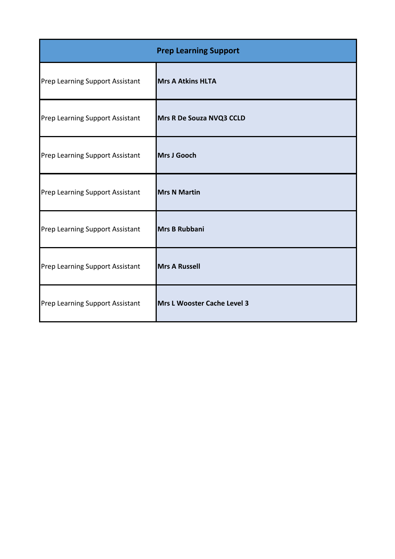| <b>Prep Learning Support</b>           |                             |
|----------------------------------------|-----------------------------|
| Prep Learning Support Assistant        | <b>Mrs A Atkins HLTA</b>    |
| Prep Learning Support Assistant        | Mrs R De Souza NVQ3 CCLD    |
| Prep Learning Support Assistant        | Mrs J Gooch                 |
| Prep Learning Support Assistant        | <b>Mrs N Martin</b>         |
| <b>Prep Learning Support Assistant</b> | <b>Mrs B Rubbani</b>        |
| <b>Prep Learning Support Assistant</b> | <b>Mrs A Russell</b>        |
| Prep Learning Support Assistant        | Mrs L Wooster Cache Level 3 |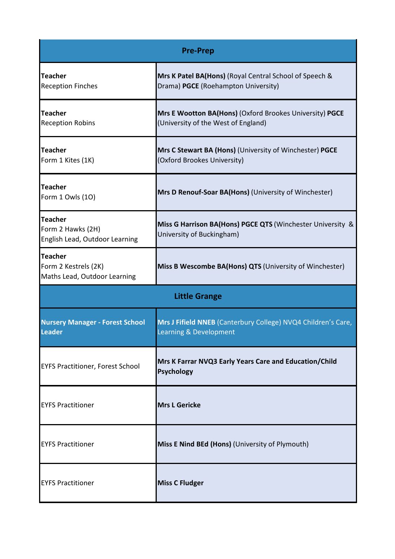|                                                                       | <b>Pre-Prep</b>                                                                                |  |
|-----------------------------------------------------------------------|------------------------------------------------------------------------------------------------|--|
| <b>Teacher</b><br><b>Reception Finches</b>                            | Mrs K Patel BA(Hons) (Royal Central School of Speech &<br>Drama) PGCE (Roehampton University)  |  |
| <b>Teacher</b><br><b>Reception Robins</b>                             | Mrs E Wootton BA(Hons) (Oxford Brookes University) PGCE<br>(University of the West of England) |  |
| <b>Teacher</b><br>Form 1 Kites (1K)                                   | Mrs C Stewart BA (Hons) (University of Winchester) PGCE<br>(Oxford Brookes University)         |  |
| <b>Teacher</b><br>Form 1 Owls (10)                                    | Mrs D Renouf-Soar BA(Hons) (University of Winchester)                                          |  |
| <b>Teacher</b><br>Form 2 Hawks (2H)<br>English Lead, Outdoor Learning | Miss G Harrison BA(Hons) PGCE QTS (Winchester University &<br>University of Buckingham)        |  |
| Teacher<br>Form 2 Kestrels (2K)<br>Maths Lead, Outdoor Learning       | Miss B Wescombe BA(Hons) QTS (University of Winchester)                                        |  |
| <b>Little Grange</b>                                                  |                                                                                                |  |
| <b>Nursery Manager - Forest School</b><br><b>Leader</b>               | Mrs J Fifield NNEB (Canterbury College) NVQ4 Children's Care,<br>Learning & Development        |  |
| <b>EYFS Practitioner, Forest School</b>                               | Mrs K Farrar NVQ3 Early Years Care and Education/Child<br><b>Psychology</b>                    |  |
| <b>EYFS Practitioner</b>                                              | <b>Mrs L Gericke</b>                                                                           |  |
| <b>EYFS Practitioner</b>                                              | Miss E Nind BEd (Hons) (University of Plymouth)                                                |  |
| <b>EYFS Practitioner</b>                                              | <b>Miss C Fludger</b>                                                                          |  |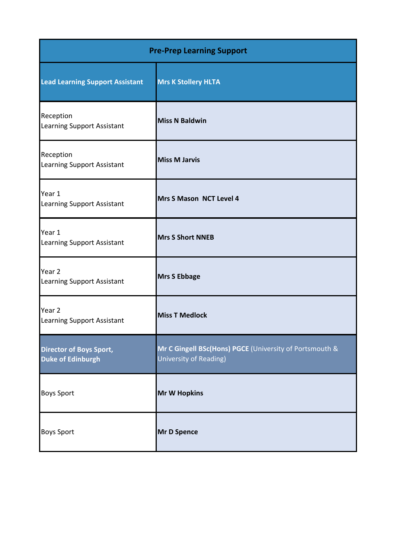| <b>Pre-Prep Learning Support</b>                           |                                                                                   |
|------------------------------------------------------------|-----------------------------------------------------------------------------------|
| <b>Lead Learning Support Assistant</b>                     | <b>Mrs K Stollery HLTA</b>                                                        |
| Reception<br><b>Learning Support Assistant</b>             | <b>Miss N Baldwin</b>                                                             |
| Reception<br><b>Learning Support Assistant</b>             | <b>Miss M Jarvis</b>                                                              |
| Year 1<br><b>Learning Support Assistant</b>                | Mrs S Mason NCT Level 4                                                           |
| Year 1<br><b>Learning Support Assistant</b>                | <b>Mrs S Short NNEB</b>                                                           |
| Year 2<br><b>Learning Support Assistant</b>                | <b>Mrs S Ebbage</b>                                                               |
| Year 2<br><b>Learning Support Assistant</b>                | <b>Miss T Medlock</b>                                                             |
| <b>Director of Boys Sport,</b><br><b>Duke of Edinburgh</b> | Mr C Gingell BSc(Hons) PGCE (University of Portsmouth &<br>University of Reading) |
| <b>Boys Sport</b>                                          | <b>Mr W Hopkins</b>                                                               |
| <b>Boys Sport</b>                                          | <b>Mr D Spence</b>                                                                |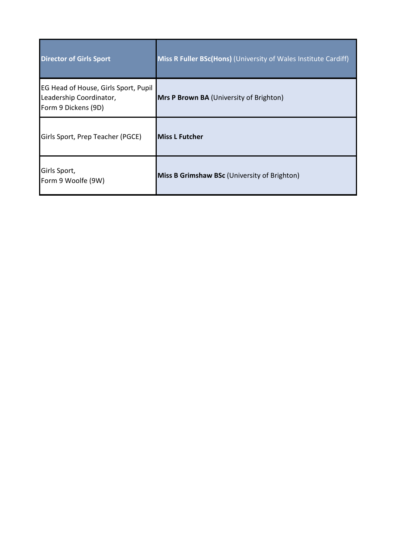| <b>Director of Girls Sport</b>                                                         | Miss R Fuller BSc(Hons) (University of Wales Institute Cardiff) |
|----------------------------------------------------------------------------------------|-----------------------------------------------------------------|
| EG Head of House, Girls Sport, Pupil<br>Leadership Coordinator,<br>Form 9 Dickens (9D) | Mrs P Brown BA (University of Brighton)                         |
| Girls Sport, Prep Teacher (PGCE)                                                       | <b>Miss L Futcher</b>                                           |
| Girls Sport,<br>Form 9 Woolfe (9W)                                                     | Miss B Grimshaw BSc (University of Brighton)                    |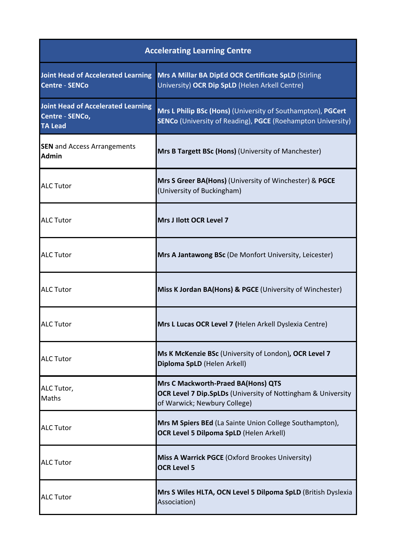| <b>Accelerating Learning Centre</b>                                            |                                                                                                                                           |  |
|--------------------------------------------------------------------------------|-------------------------------------------------------------------------------------------------------------------------------------------|--|
| <b>Joint Head of Accelerated Learning</b><br><b>Centre - SENCo</b>             | <b>Mrs A Millar BA DipEd OCR Certificate SpLD (Stirling</b><br>University) OCR Dip SpLD (Helen Arkell Centre)                             |  |
| <b>Joint Head of Accelerated Learning</b><br>Centre - SENCo,<br><b>TA Lead</b> | Mrs L Philip BSc (Hons) (University of Southampton), PGCert<br><b>SENCo</b> (University of Reading), PGCE (Roehampton University)         |  |
| <b>SEN</b> and Access Arrangements<br><b>Admin</b>                             | Mrs B Targett BSc (Hons) (University of Manchester)                                                                                       |  |
| <b>ALC Tutor</b>                                                               | Mrs S Greer BA(Hons) (University of Winchester) & PGCE<br>(University of Buckingham)                                                      |  |
| <b>ALC Tutor</b>                                                               | Mrs J Ilott OCR Level 7                                                                                                                   |  |
| <b>ALC Tutor</b>                                                               | Mrs A Jantawong BSc (De Monfort University, Leicester)                                                                                    |  |
| <b>ALC Tutor</b>                                                               | Miss K Jordan BA(Hons) & PGCE (University of Winchester)                                                                                  |  |
| <b>ALC Tutor</b>                                                               | Mrs L Lucas OCR Level 7 (Helen Arkell Dyslexia Centre)                                                                                    |  |
| <b>ALC Tutor</b>                                                               | Ms K McKenzie BSc (University of London), OCR Level 7<br>Diploma SpLD (Helen Arkell)                                                      |  |
| ALC Tutor,<br>Maths                                                            | <b>Mrs C Mackworth-Praed BA(Hons) QTS</b><br>OCR Level 7 Dip.SpLDs (University of Nottingham & University<br>of Warwick; Newbury College) |  |
| <b>ALC Tutor</b>                                                               | Mrs M Spiers BEd (La Sainte Union College Southampton),<br><b>OCR Level 5 Dilpoma SpLD (Helen Arkell)</b>                                 |  |
| <b>ALC Tutor</b>                                                               | Miss A Warrick PGCE (Oxford Brookes University)<br><b>OCR Level 5</b>                                                                     |  |
| <b>ALC Tutor</b>                                                               | Mrs S Wiles HLTA, OCN Level 5 Dilpoma SpLD (British Dyslexia<br>Association)                                                              |  |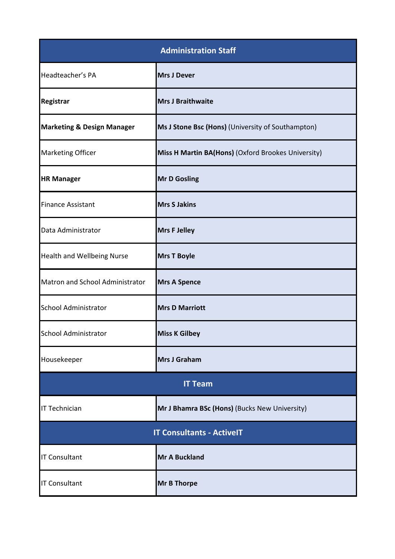| <b>Administration Staff</b>           |                                                    |  |
|---------------------------------------|----------------------------------------------------|--|
| Headteacher's PA                      | <b>Mrs J Dever</b>                                 |  |
| Registrar                             | <b>Mrs J Braithwaite</b>                           |  |
| <b>Marketing &amp; Design Manager</b> | Ms J Stone Bsc (Hons) (University of Southampton)  |  |
| <b>Marketing Officer</b>              | Miss H Martin BA(Hons) (Oxford Brookes University) |  |
| <b>HR Manager</b>                     | <b>Mr D Gosling</b>                                |  |
| <b>Finance Assistant</b>              | <b>Mrs S Jakins</b>                                |  |
| Data Administrator                    | <b>Mrs F Jelley</b>                                |  |
| <b>Health and Wellbeing Nurse</b>     | <b>Mrs T Boyle</b>                                 |  |
| Matron and School Administrator       | <b>Mrs A Spence</b>                                |  |
| <b>School Administrator</b>           | <b>Mrs D Marriott</b>                              |  |
| <b>School Administrator</b>           | <b>Miss K Gilbey</b>                               |  |
| Housekeeper                           | Mrs J Graham                                       |  |
| <b>IT Team</b>                        |                                                    |  |
| <b>IT Technician</b>                  | Mr J Bhamra BSc (Hons) (Bucks New University)      |  |
| <b>IT Consultants - ActiveIT</b>      |                                                    |  |
| <b>IT Consultant</b>                  | <b>Mr A Buckland</b>                               |  |
| <b>IT Consultant</b>                  | <b>Mr B Thorpe</b>                                 |  |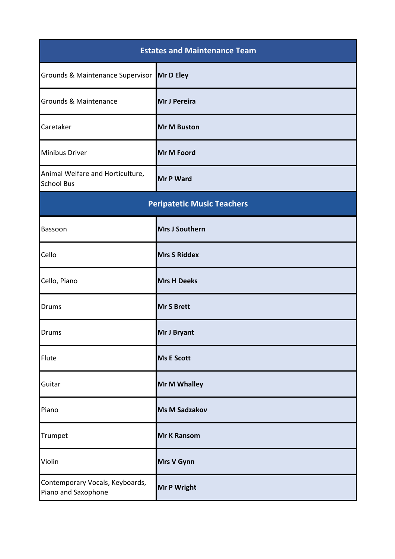| <b>Estates and Maintenance Team</b>                    |                       |  |
|--------------------------------------------------------|-----------------------|--|
| Grounds & Maintenance Supervisor Mr D Eley             |                       |  |
| Grounds & Maintenance                                  | Mr J Pereira          |  |
| Caretaker                                              | <b>Mr M Buston</b>    |  |
| <b>Minibus Driver</b>                                  | Mr M Foord            |  |
| Animal Welfare and Horticulture,<br><b>School Bus</b>  | <b>Mr P Ward</b>      |  |
| <b>Peripatetic Music Teachers</b>                      |                       |  |
| Bassoon                                                | <b>Mrs J Southern</b> |  |
| Cello                                                  | <b>Mrs S Riddex</b>   |  |
| Cello, Piano                                           | <b>Mrs H Deeks</b>    |  |
| <b>Drums</b>                                           | <b>Mr S Brett</b>     |  |
| <b>Drums</b>                                           | <b>Mr J Bryant</b>    |  |
| Flute                                                  | <b>Ms E Scott</b>     |  |
| Guitar                                                 | Mr M Whalley          |  |
| Piano                                                  | <b>Ms M Sadzakov</b>  |  |
| Trumpet                                                | <b>Mr K Ransom</b>    |  |
| Violin                                                 | Mrs V Gynn            |  |
| Contemporary Vocals, Keyboards,<br>Piano and Saxophone | <b>Mr P Wright</b>    |  |